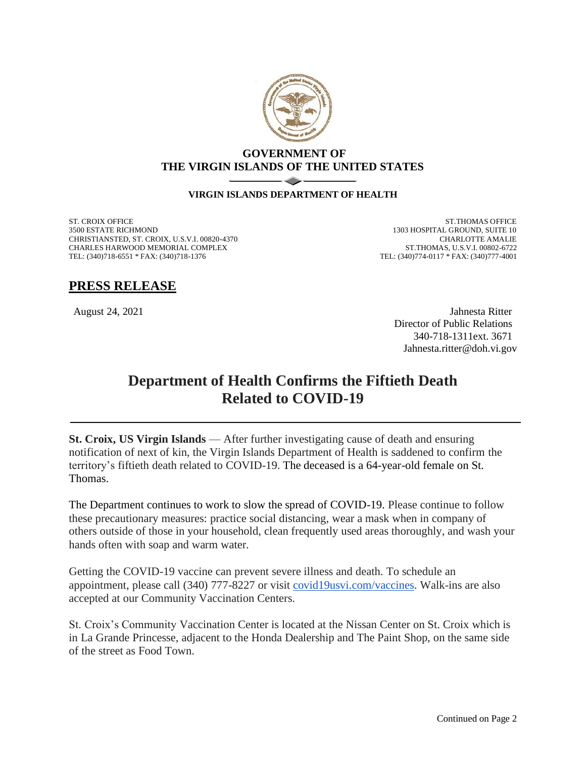

## **GOVERNMENT OF THE VIRGIN ISLANDS OF THE UNITED STATES**

#### **VIRGIN ISLANDS DEPARTMENT OF HEALTH**

ST. CROIX OFFICE 3500 ESTATE RICHMOND CHRISTIANSTED, ST. CROIX, U.S.V.I. 00820-4370 CHARLES HARWOOD MEMORIAL COMPLEX TEL: (340)718-6551 \* FAX: (340)718-1376

ST.THOMAS OFFICE 1303 HOSPITAL GROUND, SUITE 10 CHARLOTTE AMALIE ST.THOMAS, U.S.V.I. 00802-6722 TEL: (340)774-0117 \* FAX: (340)777-4001

# **PRESS RELEASE**

August 24, 2021 Jahnesta Ritter Director of Public Relations 340-718-1311ext. 3671 Jahnesta.ritter@doh.vi.gov

# **Department of Health Confirms the Fiftieth Death Related to COVID-19**

**St. Croix, US Virgin Islands** — After further investigating cause of death and ensuring notification of next of kin, the Virgin Islands Department of Health is saddened to confirm the territory's fiftieth death related to COVID-19. The deceased is a 64-year-old female on St. Thomas.

The Department continues to work to slow the spread of COVID-19. Please continue to follow these precautionary measures: practice social distancing, wear a mask when in company of others outside of those in your household, clean frequently used areas thoroughly, and wash your hands often with soap and warm water.

Getting the COVID-19 vaccine can prevent severe illness and death. To schedule an appointment, please call (340) 777-8227 or visit [covid19usvi.com/vaccines.](http://covid19usvi.com/vaccines) Walk-ins are also accepted at our Community Vaccination Centers.

St. Croix's Community Vaccination Center is located at the Nissan Center on St. Croix which is in La Grande Princesse, adjacent to the Honda Dealership and The Paint Shop, on the same side of the street as Food Town.